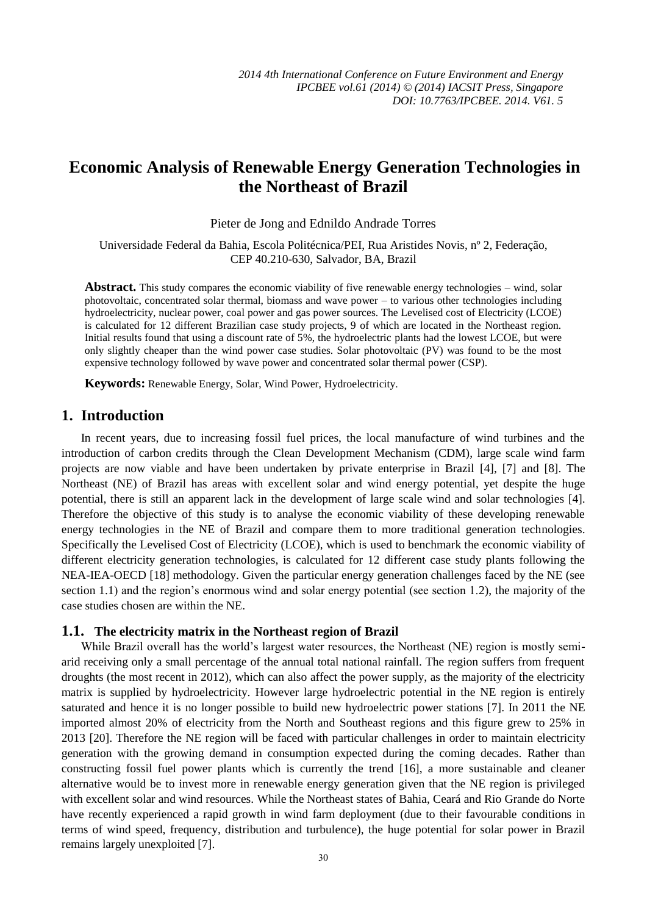# **Economic Analysis of Renewable Energy Generation Technologies in the Northeast of Brazil**

Pieter de Jong and Ednildo Andrade Torres

Universidade Federal da Bahia, Escola Politécnica/PEI, Rua Aristides Novis, nº 2, Federação, CEP 40.210-630, Salvador, BA, Brazil

**Abstract.** This study compares the economic viability of five renewable energy technologies – wind, solar photovoltaic, concentrated solar thermal, biomass and wave power – to various other technologies including hydroelectricity, nuclear power, coal power and gas power sources. The Levelised cost of Electricity (LCOE) is calculated for 12 different Brazilian case study projects, 9 of which are located in the Northeast region. Initial results found that using a discount rate of 5%, the hydroelectric plants had the lowest LCOE, but were only slightly cheaper than the wind power case studies. Solar photovoltaic (PV) was found to be the most expensive technology followed by wave power and concentrated solar thermal power (CSP).

**Keywords:** Renewable Energy, Solar, Wind Power, Hydroelectricity.

## **1. Introduction**

In recent years, due to increasing fossil fuel prices, the local manufacture of wind turbines and the introduction of carbon credits through the Clean Development Mechanism (CDM), large scale wind farm projects are now viable and have been undertaken by private enterprise in Brazil [4], [7] and [8]. The Northeast (NE) of Brazil has areas with excellent solar and wind energy potential, yet despite the huge potential, there is still an apparent lack in the development of large scale wind and solar technologies [4]. Therefore the objective of this study is to analyse the economic viability of these developing renewable energy technologies in the NE of Brazil and compare them to more traditional generation technologies. Specifically the Levelised Cost of Electricity (LCOE), which is used to benchmark the economic viability of different electricity generation technologies, is calculated for 12 different case study plants following the NEA-IEA-OECD [18] methodology. Given the particular energy generation challenges faced by the NE (see section 1.1) and the region's enormous wind and solar energy potential (see section 1.2), the majority of the case studies chosen are within the NE.

#### **1.1. The electricity matrix in the Northeast region of Brazil**

While Brazil overall has the world's largest water resources, the Northeast (NE) region is mostly semiarid receiving only a small percentage of the annual total national rainfall. The region suffers from frequent droughts (the most recent in 2012), which can also affect the power supply, as the majority of the electricity matrix is supplied by hydroelectricity. However large hydroelectric potential in the NE region is entirely saturated and hence it is no longer possible to build new hydroelectric power stations [7]. In 2011 the NE imported almost 20% of electricity from the North and Southeast regions and this figure grew to 25% in 2013 [20]. Therefore the NE region will be faced with particular challenges in order to maintain electricity generation with the growing demand in consumption expected during the coming decades. Rather than constructing fossil fuel power plants which is currently the trend [16], a more sustainable and cleaner alternative would be to invest more in renewable energy generation given that the NE region is privileged with excellent solar and wind resources. While the Northeast states of Bahia, Ceará and Rio Grande do Norte have recently experienced a rapid growth in wind farm deployment (due to their favourable conditions in terms of wind speed, frequency, distribution and turbulence), the huge potential for solar power in Brazil remains largely unexploited [7].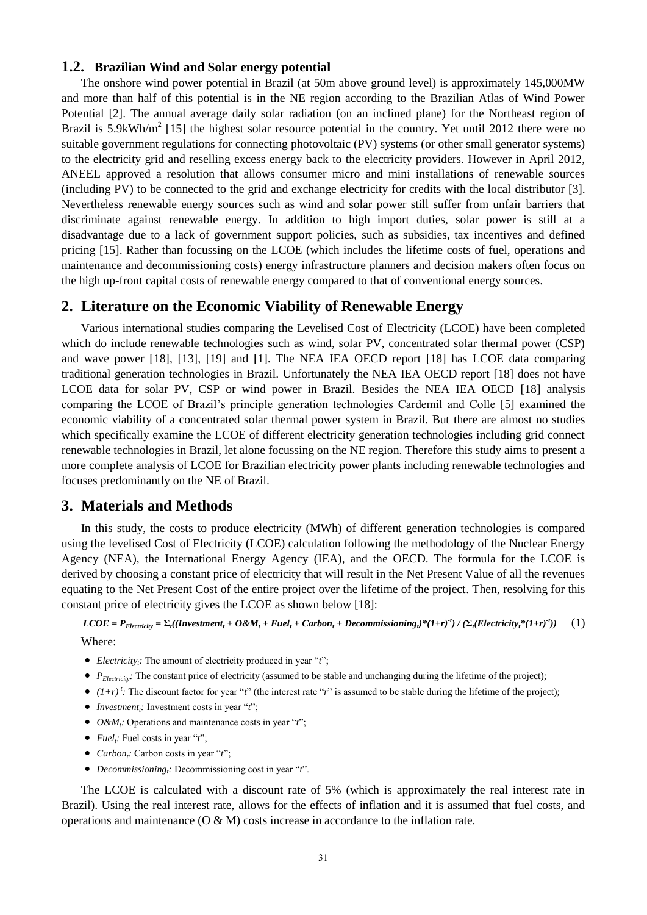#### **1.2. Brazilian Wind and Solar energy potential**

The onshore wind power potential in Brazil (at 50m above ground level) is approximately 145,000MW and more than half of this potential is in the NE region according to the Brazilian Atlas of Wind Power Potential [2]. The annual average daily solar radiation (on an inclined plane) for the Northeast region of Brazil is 5.9kWh/ $m^2$  [15] the highest solar resource potential in the country. Yet until 2012 there were no suitable government regulations for connecting photovoltaic (PV) systems (or other small generator systems) to the electricity grid and reselling excess energy back to the electricity providers. However in April 2012, ANEEL approved a resolution that allows consumer micro and mini installations of renewable sources (including PV) to be connected to the grid and exchange electricity for credits with the local distributor [3]. Nevertheless renewable energy sources such as wind and solar power still suffer from unfair barriers that discriminate against renewable energy. In addition to high import duties, solar power is still at a disadvantage due to a lack of government support policies, such as subsidies, tax incentives and defined pricing [15]. Rather than focussing on the LCOE (which includes the lifetime costs of fuel, operations and maintenance and decommissioning costs) energy infrastructure planners and decision makers often focus on the high up-front capital costs of renewable energy compared to that of conventional energy sources.

## **2. Literature on the Economic Viability of Renewable Energy**

Various international studies comparing the Levelised Cost of Electricity (LCOE) have been completed which do include renewable technologies such as wind, solar PV, concentrated solar thermal power (CSP) and wave power [18], [13], [19] and [1]. The NEA IEA OECD report [18] has LCOE data comparing traditional generation technologies in Brazil. Unfortunately the NEA IEA OECD report [18] does not have LCOE data for solar PV, CSP or wind power in Brazil. Besides the NEA IEA OECD [18] analysis comparing the LCOE of Brazil's principle generation technologies Cardemil and Colle [5] examined the economic viability of a concentrated solar thermal power system in Brazil. But there are almost no studies which specifically examine the LCOE of different electricity generation technologies including grid connect renewable technologies in Brazil, let alone focussing on the NE region. Therefore this study aims to present a more complete analysis of LCOE for Brazilian electricity power plants including renewable technologies and focuses predominantly on the NE of Brazil.

#### **3. Materials and Methods**

In this study, the costs to produce electricity (MWh) of different generation technologies is compared using the levelised Cost of Electricity (LCOE) calculation following the methodology of the Nuclear Energy Agency (NEA), the International Energy Agency (IEA), and the OECD. The formula for the LCOE is derived by choosing a constant price of electricity that will result in the Net Present Value of all the revenues equating to the Net Present Cost of the entire project over the lifetime of the project. Then, resolving for this constant price of electricity gives the LCOE as shown below [18]:

 $\textit{LCOE} = P_{\textit{Electricity}} = \Sigma_t ((\textit{Investment}_t + O\&M_t + Fuel_t + \textit{Carbon}_t + Decommissioning_t)^*(1+r)^t) / (\Sigma_t (\textit{Electricity}_t^*(1+r)^t)$ *))*(1) Where:

- *Electricity<sub>t</sub>*: The amount of electricity produced in year "*t*";
- P<sub>Electricity</sub>: The constant price of electricity (assumed to be stable and unchanging during the lifetime of the project);
- $(1+r)^t$ : The discount factor for year "*t*" (the interest rate "*r*" is assumed to be stable during the lifetime of the project);
- *Investment<sup>t</sup> :* Investment costs in year "*t*";
- *O&M<sup>t</sup> :* Operations and maintenance costs in year "*t*";
- *Fuel<sub>i</sub>*: Fuel costs in year "*t*";
- *Carbon<sup>t</sup> :* Carbon costs in year "*t*";
- *Decommissioning<sup>t</sup> :* Decommissioning cost in year "*t*".

The LCOE is calculated with a discount rate of 5% (which is approximately the real interest rate in Brazil). Using the real interest rate, allows for the effects of inflation and it is assumed that fuel costs, and operations and maintenance  $(O & M)$  costs increase in accordance to the inflation rate.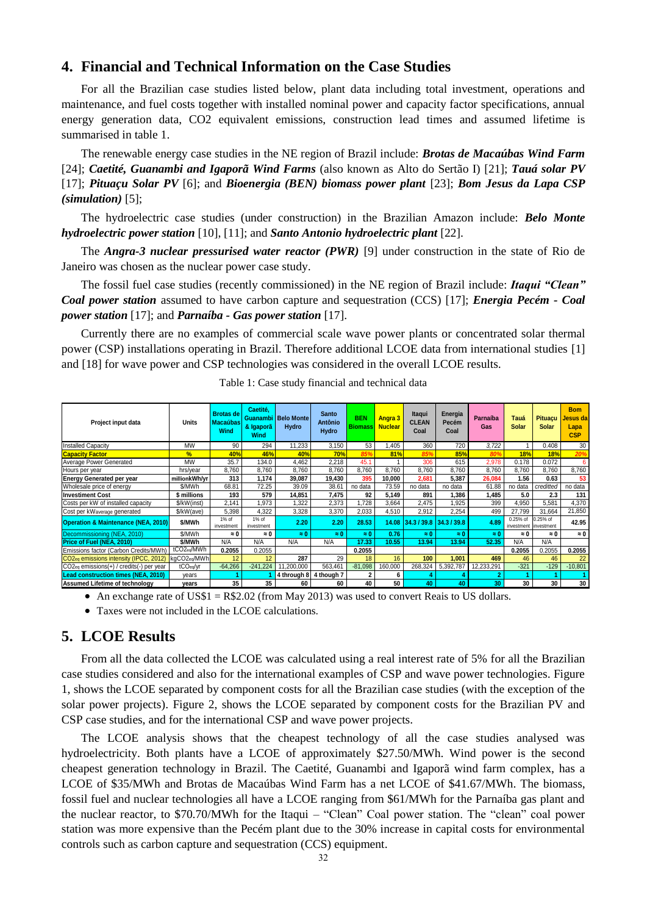## **4. Financial and Technical Information on the Case Studies**

For all the Brazilian case studies listed below, plant data including total investment, operations and maintenance, and fuel costs together with installed nominal power and capacity factor specifications, annual energy generation data, CO2 equivalent emissions, construction lead times and assumed lifetime is summarised in table 1.

The renewable energy case studies in the NE region of Brazil include: *Brotas de Macaúbas Wind Farm* [24]; *Caetité, Guanambi and Igaporã Wind Farms* (also known as Alto do Sertão I) [21]; *Tauá solar PV* [17]; *Pituaçu Solar PV* [6]; and *Bioenergia (BEN) biomass power plant* [23]; *Bom Jesus da Lapa CSP (simulation)* [5];

The hydroelectric case studies (under construction) in the Brazilian Amazon include: *Belo Monte hydroelectric power station* [10], [11]; and *Santo Antonio hydroelectric plant* [22].

The *Angra-3 nuclear pressurised water reactor (PWR)* [9] under construction in the state of Rio de Janeiro was chosen as the nuclear power case study.

The fossil fuel case studies (recently commissioned) in the NE region of Brazil include: *Itaqui "Clean" Coal power station* assumed to have carbon capture and sequestration (CCS) [17]; *Energia Pecém - Coal power station* [17]; and *Parna ba - Gas power station* [17].

Currently there are no examples of commercial scale wave power plants or concentrated solar thermal power (CSP) installations operating in Brazil. Therefore additional LCOE data from international studies [1] and [18] for wave power and CSP technologies was considered in the overall LCOE results.

| Project input data                                                          | Units                   | <b>Brotas de</b><br><b>Macaúbas</b><br>Wind | Caetité.<br>Guanambi<br>& Igaporã<br>Wind | <b>Belo Monte</b><br>Hydro | <b>Santo</b><br><b>Antônio</b><br>Hydro | <b>BEN</b><br><b>Biomass</b> | <b>Angra 3</b><br><b>Nuclear</b> | Itaqui<br><b>CLEAN</b><br>Coal | Energia<br>Pecém<br>Coal | Parnaíba<br>Gas | Tauá<br><b>Solar</b>              | <b>Pituaçu</b><br><b>Solar</b> | <b>Bom</b><br>Jesus da<br>Lapa<br><b>CSP</b> |
|-----------------------------------------------------------------------------|-------------------------|---------------------------------------------|-------------------------------------------|----------------------------|-----------------------------------------|------------------------------|----------------------------------|--------------------------------|--------------------------|-----------------|-----------------------------------|--------------------------------|----------------------------------------------|
| <b>Installed Capacity</b>                                                   | <b>MW</b>               | 90                                          | 294                                       | 11.233                     | 3.150                                   | 53                           | .405                             | 360                            | 720                      | 3.722           |                                   | 0.408                          | 30                                           |
| <b>Capacity Factor</b>                                                      | %                       | 40%                                         | 46%                                       | 40%                        | 70%                                     | 859                          | 81%                              | 85%                            | 85%                      | 80              | 18%                               | 18%                            | 20%                                          |
| Average Power Generated                                                     | <b>MW</b>               | 35.7                                        | 134.0                                     | 4.462                      | 2.218                                   | 45.1                         |                                  | 306                            | 615                      | 2.978           | 0.178                             | 0.072                          | 6                                            |
| Hours per year                                                              | hrs/vear                | 8.760                                       | 8.760                                     | 8.760                      | 8,760                                   | 8.760                        | 8.760                            | 8,760                          | 8.760                    | 8,760           | 8.760                             | 8.760                          | 8,760                                        |
| <b>Energy Generated per year</b>                                            | millionkWh/vr           | 313                                         | 1,174                                     | 39.087                     | 19,430                                  | 395                          | 10,000                           | 2,681                          | 5.387                    | 26.084          | 1.56                              | 0.63                           | 53                                           |
| Wholesale price of energy                                                   | \$/MWh                  | 68.81                                       | 72.25                                     | 39.09                      | 38.61                                   | no data                      | 73.59                            | no data                        | no data                  | 61.88           | no data                           | creditted                      | no data                                      |
| <b>Investiment Cost</b>                                                     | millions                | 193                                         | 579                                       | 14,851                     | 7,475                                   | 92                           | 5,149                            | 891                            | 1.386                    | 1,485           | 5.0                               | 2.3                            | 131                                          |
| Costs per kW of installed capacity                                          | \$/kW(inst)             | 2.141                                       | .973                                      | 1.322                      | 2.373                                   | 1.728                        | 3.664                            | 2.475                          | 1.925                    | 399             | 4.950                             | 5.581                          | 4.370                                        |
| Cost per kWaverage generated                                                | \$/kW(ave)              | 5.398                                       | 4.322                                     | 3.328                      | 3,370                                   | 2,033                        | 4,510                            | 2,912                          | 2.254                    | 499             | 27.799                            | 31.664                         | 21,850                                       |
| <b>Operation &amp; Maintenance (NEA, 2010)</b>                              | \$/MWh                  | 1% of<br>investment                         | 1% of<br>investment                       | 2.20                       | 2.20                                    | 28.53                        | 14.08                            | 34.3 / 39.8 34.3 / 39.8        |                          | 4.89            | 0.25% of<br>investment investment | 0.25% of                       | 42.95                                        |
| Decommissioning (NEA, 2010)                                                 | \$/MWh                  | $\approx 0$                                 | $\approx 0$                               | $\approx 0$                | $\approx 0$                             | $\approx 0$                  | 0.76                             | $\approx 0$                    | $\approx 0$              | $\approx 0$     | $\approx 0$                       | $\approx 0$                    | $\approx 0$                                  |
| Price of Fuel (NEA, 2010)                                                   | \$/MWh                  | N/A                                         | N/A                                       | N/A                        | N/A                                     | 17.33                        | 10.55                            | 13.94                          | 13.94                    | 52.35           | N/A                               | N/A                            |                                              |
| Emissions factor (Carbon Credits/MWh)                                       | tCO <sub>2eq</sub> /MWh | 0.2055                                      | 0.2055                                    |                            |                                         | 0.2055                       |                                  |                                |                          |                 | 0.2055                            | 0.2055                         | 0.2055                                       |
| CO <sub>2eq</sub> emissions intensity (IPCC, 2012) kgCO <sub>2eq</sub> /MWh |                         | 12                                          | 12                                        | 287                        | 29                                      | 18                           | 16                               | 100                            | 1.001                    | 469             | 46                                | 46                             | 22                                           |
| CO <sub>2eq</sub> emissions(+) / credits(-) per year                        | tCO <sub>eq</sub> /yr   | $-64,266$                                   | $-241,224$                                | 11,200,000                 | 563,461                                 | $-81,098$                    | 160,000                          | 268,324                        | 5,392,787                | 12,233,291      | $-321$                            | $-129$                         | $-10,801$                                    |
| <b>Lead construction times (NEA, 2010)</b>                                  | years                   |                                             |                                           |                            | 4 through 8 4 though 7                  |                              | 6                                |                                |                          |                 |                                   |                                |                                              |
| Assumed Lifetime of technology                                              | years                   | 35                                          | 35                                        | 60                         | 60                                      | 40                           | 50                               | 40                             | 40                       | 30              | 30                                | 30                             | 30                                           |

Table 1: Case study financial and technical data

• An exchange rate of  $USS1 = R$2.02$  (from May 2013) was used to convert Reais to US dollars.

Taxes were not included in the LCOE calculations.

## **5. LCOE Results**

From all the data collected the LCOE was calculated using a real interest rate of 5% for all the Brazilian case studies considered and also for the international examples of CSP and wave power technologies. Figure 1, shows the LCOE separated by component costs for all the Brazilian case studies (with the exception of the solar power projects). Figure 2, shows the LCOE separated by component costs for the Brazilian PV and CSP case studies, and for the international CSP and wave power projects.

The LCOE analysis shows that the cheapest technology of all the case studies analysed was hydroelectricity. Both plants have a LCOE of approximately \$27.50/MWh. Wind power is the second cheapest generation technology in Brazil. The Caetité, Guanambi and Igaporã wind farm complex, has a LCOE of \$35/MWh and Brotas de Macaúbas Wind Farm has a net LCOE of \$41.67/MWh. The biomass, fossil fuel and nuclear technologies all have a LCOE ranging from \$61/MWh for the Parna ba gas plant and the nuclear reactor, to \$70.70/MWh for the Itaqui – "Clean" Coal power station. The "clean" coal power station was more expensive than the Pecém plant due to the 30% increase in capital costs for environmental controls such as carbon capture and sequestration (CCS) equipment.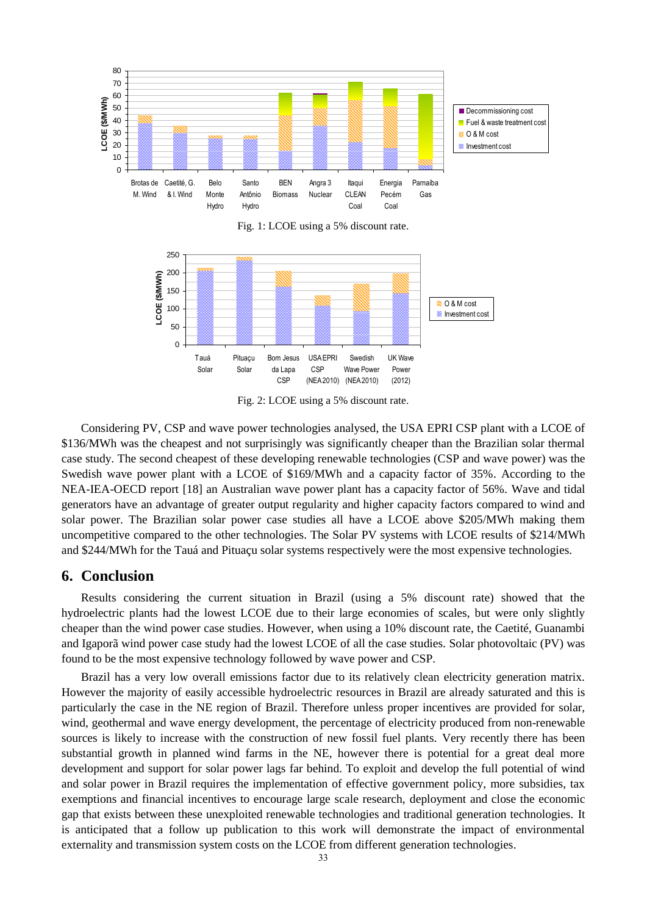

Fig. 1: LCOE using a 5% discount rate.



Fig. 2: LCOE using a 5% discount rate.

Considering PV, CSP and wave power technologies analysed, the USA EPRI CSP plant with a LCOE of \$136/MWh was the cheapest and not surprisingly was significantly cheaper than the Brazilian solar thermal case study. The second cheapest of these developing renewable technologies (CSP and wave power) was the Swedish wave power plant with a LCOE of \$169/MWh and a capacity factor of 35%. According to the NEA-IEA-OECD report [18] an Australian wave power plant has a capacity factor of 56%. Wave and tidal generators have an advantage of greater output regularity and higher capacity factors compared to wind and solar power. The Brazilian solar power case studies all have a LCOE above \$205/MWh making them uncompetitive compared to the other technologies. The Solar PV systems with LCOE results of \$214/MWh and \$244/MWh for the Tau á and Pitua qu solar systems respectively were the most expensive technologies.

## **6. Conclusion**

Results considering the current situation in Brazil (using a 5% discount rate) showed that the hydroelectric plants had the lowest LCOE due to their large economies of scales, but were only slightly cheaper than the wind power case studies. However, when using a 10% discount rate, the Caetité, Guanambi and Igaporã wind power case study had the lowest LCOE of all the case studies. Solar photovoltaic (PV) was found to be the most expensive technology followed by wave power and CSP.

Brazil has a very low overall emissions factor due to its relatively clean electricity generation matrix. However the majority of easily accessible hydroelectric resources in Brazil are already saturated and this is particularly the case in the NE region of Brazil. Therefore unless proper incentives are provided for solar, wind, geothermal and wave energy development, the percentage of electricity produced from non-renewable sources is likely to increase with the construction of new fossil fuel plants. Very recently there has been substantial growth in planned wind farms in the NE, however there is potential for a great deal more development and support for solar power lags far behind. To exploit and develop the full potential of wind and solar power in Brazil requires the implementation of effective government policy, more subsidies, tax exemptions and financial incentives to encourage large scale research, deployment and close the economic gap that exists between these unexploited renewable technologies and traditional generation technologies. It is anticipated that a follow up publication to this work will demonstrate the impact of environmental externality and transmission system costs on the LCOE from different generation technologies.